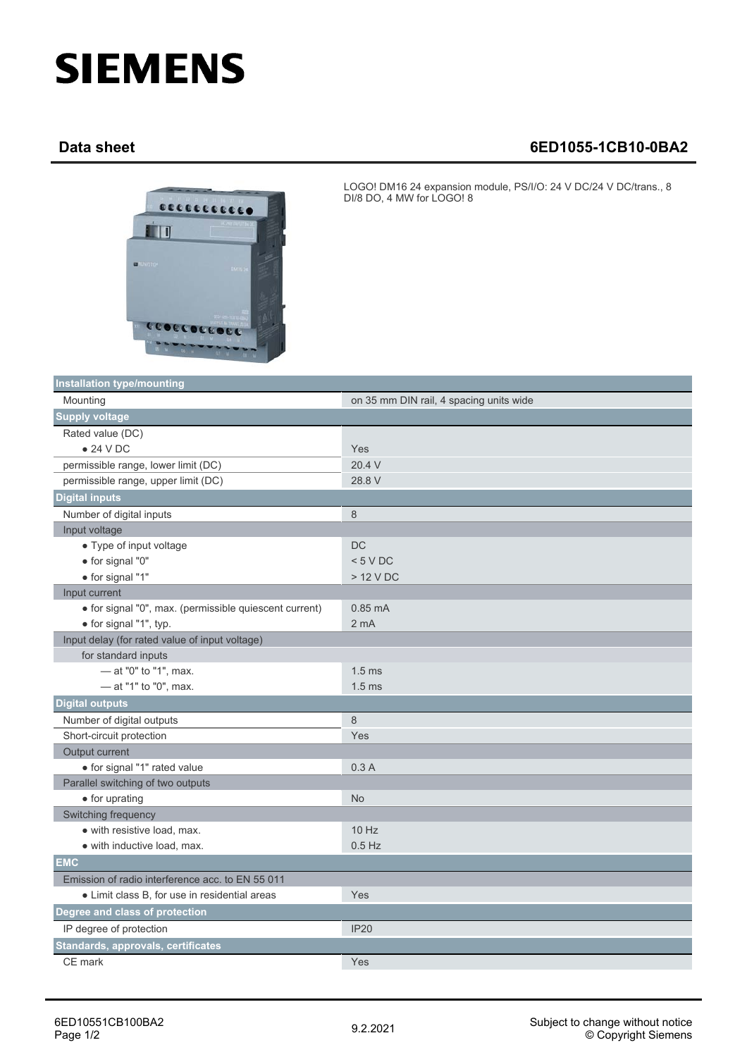## **SIEMENS**

## **Data sheet 6ED1055-1CB10-0BA2**



LOGO! DM16 24 expansion module, PS/I/O: 24 V DC/24 V DC/trans., 8 DI/8 DO, 4 MW for LOGO! 8

| <b>Installation type/mounting</b>                      |                                         |  |
|--------------------------------------------------------|-----------------------------------------|--|
| Mounting                                               | on 35 mm DIN rail, 4 spacing units wide |  |
| <b>Supply voltage</b>                                  |                                         |  |
| Rated value (DC)                                       |                                         |  |
| $\bullet$ 24 V DC                                      | Yes                                     |  |
| permissible range, lower limit (DC)                    | 20.4 V                                  |  |
| permissible range, upper limit (DC)                    | 28.8 V                                  |  |
| <b>Digital inputs</b>                                  |                                         |  |
| Number of digital inputs                               | 8                                       |  |
| Input voltage                                          |                                         |  |
| • Type of input voltage                                | DC                                      |  |
| · for signal "0"                                       | < 5 VDC                                 |  |
| · for signal "1"                                       | > 12 V DC                               |  |
| Input current                                          |                                         |  |
| • for signal "0", max. (permissible quiescent current) | $0.85 \text{ mA}$                       |  |
| · for signal "1", typ.                                 | 2 <sub>m</sub> A                        |  |
| Input delay (for rated value of input voltage)         |                                         |  |
| for standard inputs                                    |                                         |  |
| - at "0" to "1", max.                                  | $1.5$ ms                                |  |
| - at "1" to "0", max.                                  | 1.5 <sub>ms</sub>                       |  |
| <b>Digital outputs</b>                                 |                                         |  |
| Number of digital outputs                              | 8                                       |  |
| Short-circuit protection                               | Yes                                     |  |
| Output current                                         |                                         |  |
| · for signal "1" rated value                           | 0.3A                                    |  |
| Parallel switching of two outputs                      |                                         |  |
| • for uprating                                         | <b>No</b>                               |  |
| Switching frequency                                    |                                         |  |
| · with resistive load, max.                            | $10$ Hz                                 |  |
| • with inductive load, max.                            | $0.5$ Hz                                |  |
| <b>EMC</b>                                             |                                         |  |
| Emission of radio interference acc. to EN 55 011       |                                         |  |
| · Limit class B, for use in residential areas          | Yes                                     |  |
| Degree and class of protection                         |                                         |  |
| IP degree of protection                                | <b>IP20</b>                             |  |
| Standards, approvals, certificates                     |                                         |  |
| CE mark                                                | Yes                                     |  |